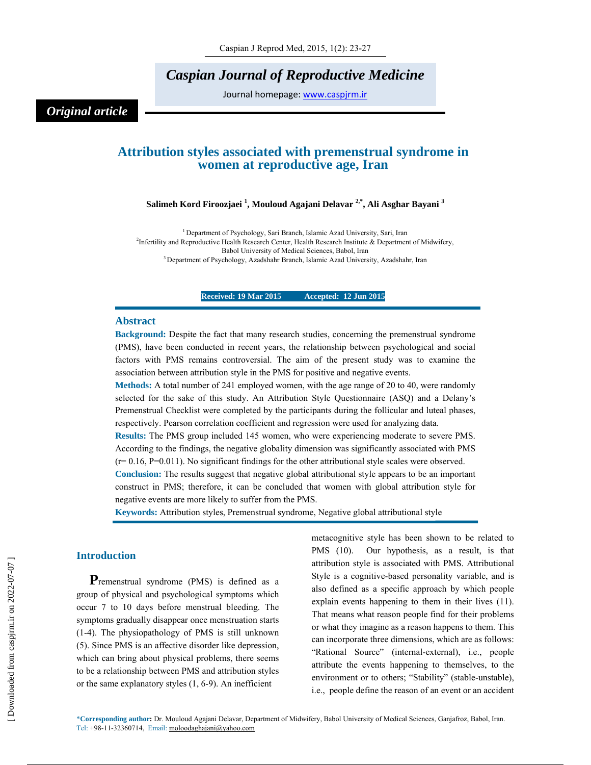*Caspian Journal of Reproductive Medicine* 

Journal homepage: www.caspjrm.ir

# *Original article*

# **Attribution styles associated with premenstrual syndrome in women at reproductive age, Iran**

## **Salimeh Kord Firoozjaei 1 , Mouloud Agajani Delavar 2,\*, Ali Asghar Bayani 3**

<sup>1</sup> Department of Psychology, Sari Branch, Islamic Azad University, Sari, Iran <sup>2</sup>Infertility and Reproductive Health Research Center, Health Research Institute & Department of Midwifery, Babol University of Medical Sciences, Babol, Iran<br><sup>3</sup> Department of Psychology, Azadshahr Branch, Islamic Azad University, Azadshahr, Iran

**Received: 19 Mar 2015 Accepted: 12 Jun 2015** 

### **Abstract**

**Background:** Despite the fact that many research studies, concerning the premenstrual syndrome (PMS), have been conducted in recent years, the relationship between psychological and social factors with PMS remains controversial. The aim of the present study was to examine the association between attribution style in the PMS for positive and negative events.

**Methods:** A total number of 241 employed women, with the age range of 20 to 40, were randomly selected for the sake of this study. An Attribution Style Questionnaire (ASQ) and a Delany's Premenstrual Checklist were completed by the participants during the follicular and luteal phases, respectively. Pearson correlation coefficient and regression were used for analyzing data.

**Results:** The PMS group included 145 women, who were experiencing moderate to severe PMS. According to the findings, the negative globality dimension was significantly associated with PMS  $(r= 0.16, P=0.011)$ . No significant findings for the other attributional style scales were observed.

**Conclusion:** The results suggest that negative global attributional style appears to be an important construct in PMS; therefore, it can be concluded that women with global attribution style for negative events are more likely to suffer from the PMS.

**Keywords:** Attribution styles, Premenstrual syndrome, Negative global attributional style

## **Introduction**

**P**remenstrual syndrome (PMS) is defined as a group of physical and psychological symptoms which occur 7 to 10 days before menstrual bleeding. The symptoms gradually disappear once menstruation starts (1-4). The physiopathology of PMS is still unknown (5). Since PMS is an affective disorder like depression, which can bring about physical problems, there seems to be a relationship between PMS and attribution styles or the same explanatory styles (1, 6-9). An inefficient

metacognitive style has been shown to be related to PMS (10). Our hypothesis, as a result, is that attribution style is associated with PMS. Attributional Style is a cognitive-based personality variable, and is also defined as a specific approach by which people explain events happening to them in their lives (11). That means what reason people find for their problems or what they imagine as a reason happens to them. This can incorporate three dimensions, which are as follows: "Rational Source" (internal-external), i.e., people attribute the events happening to themselves, to the environment or to others; "Stability" (stable-unstable), i.e., people define the reason of an event or an accident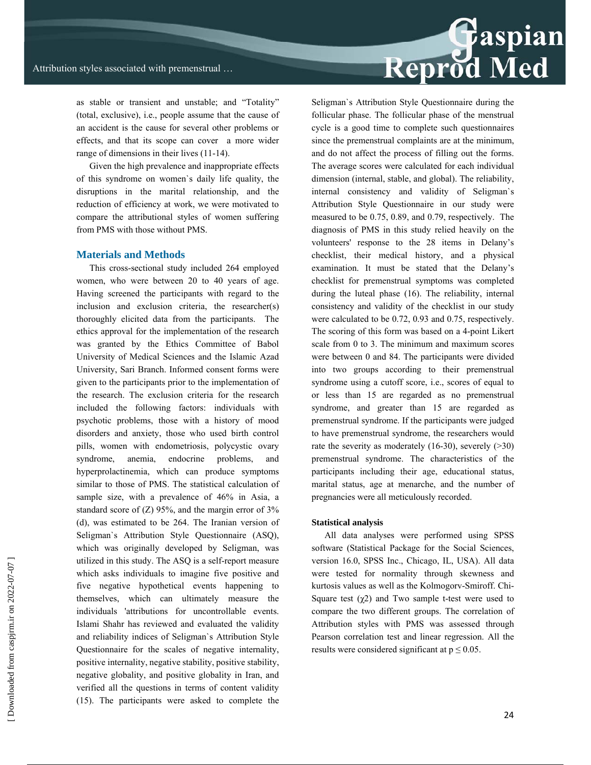as stable or transient and unstable; and "Totality" (total, exclusive), i.e., people assume that the cause of an accident is the cause for several other problems or effects, and that its scope can cover a more wider range of dimensions in their lives (11-14).

Given the high prevalence and inappropriate effects of this syndrome on women`s daily life quality, the disruptions in the marital relationship, and the reduction of efficiency at work, we were motivated to compare the attributional styles of women suffering from PMS with those without PMS.

# **Materials and Methods**

This cross-sectional study included 264 employed women, who were between 20 to 40 years of age. Having screened the participants with regard to the inclusion and exclusion criteria, the researcher(s) thoroughly elicited data from the participants. The ethics approval for the implementation of the research was granted by the Ethics Committee of Babol University of Medical Sciences and the Islamic Azad University, Sari Branch. Informed consent forms were given to the participants prior to the implementation of the research. The exclusion criteria for the research included the following factors: individuals with psychotic problems, those with a history of mood disorders and anxiety, those who used birth control pills, women with endometriosis, polycystic ovary syndrome, anemia, endocrine problems, and hyperprolactinemia, which can produce symptoms similar to those of PMS. The statistical calculation of sample size, with a prevalence of 46% in Asia, a standard score of  $(Z)$  95%, and the margin error of 3% (d), was estimated to be 264. The Iranian version of Seligman`s Attribution Style Questionnaire (ASQ), which was originally developed by Seligman, was utilized in this study. The ASQ is a self-report measure which asks individuals to imagine five positive and five negative hypothetical events happening to themselves, which can ultimately measure the individuals 'attributions for uncontrollable events. Islami Shahr has reviewed and evaluated the validity and reliability indices of Seligman`s Attribution Style Questionnaire for the scales of negative internality, positive internality, negative stability, positive stability, negative globality, and positive globality in Iran, and verified all the questions in terms of content validity (15). The participants were asked to complete the

Seligman`s Attribution Style Questionnaire during the follicular phase. The follicular phase of the menstrual cycle is a good time to complete such questionnaires since the premenstrual complaints are at the minimum, and do not affect the process of filling out the forms. The average scores were calculated for each individual dimension (internal, stable, and global). The reliability, internal consistency and validity of Seligman`s Attribution Style Questionnaire in our study were measured to be 0.75, 0.89, and 0.79, respectively. The diagnosis of PMS in this study relied heavily on the volunteers' response to the 28 items in Delany's checklist, their medical history, and a physical examination. It must be stated that the Delany's checklist for premenstrual symptoms was completed during the luteal phase (16). The reliability, internal consistency and validity of the checklist in our study were calculated to be 0.72, 0.93 and 0.75, respectively. The scoring of this form was based on a 4-point Likert scale from 0 to 3. The minimum and maximum scores were between 0 and 84. The participants were divided into two groups according to their premenstrual syndrome using a cutoff score, i.e., scores of equal to or less than 15 are regarded as no premenstrual syndrome, and greater than 15 are regarded as premenstrual syndrome. If the participants were judged to have premenstrual syndrome, the researchers would rate the severity as moderately  $(16-30)$ , severely  $(230)$ premenstrual syndrome. The characteristics of the participants including their age, educational status, marital status, age at menarche, and the number of pregnancies were all meticulously recorded.

#### **Statistical analysis**

All data analyses were performed using SPSS software (Statistical Package for the Social Sciences, version 16.0, SPSS Inc., Chicago, IL, USA). All data were tested for normality through skewness and kurtosis values as well as the Kolmogorv-Smiroff. Chi-Square test  $(\chi^2)$  and Two sample t-test were used to compare the two different groups. The correlation of Attribution styles with PMS was assessed through Pearson correlation test and linear regression. All the results were considered significant at  $p \le 0.05$ .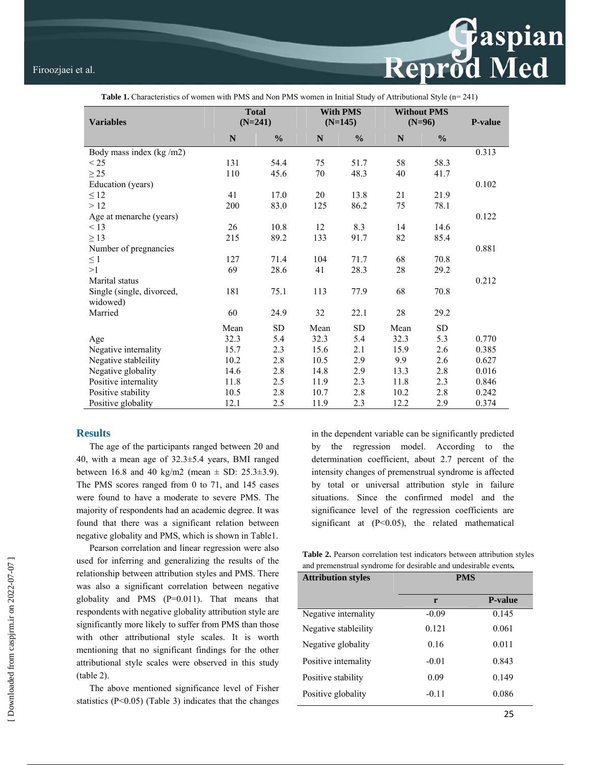

| $\ldots$                              |                           |               |                 |               |                    |               |                |  |  |
|---------------------------------------|---------------------------|---------------|-----------------|---------------|--------------------|---------------|----------------|--|--|
|                                       | <b>Total</b><br>$(N=241)$ |               | <b>With PMS</b> |               | <b>Without PMS</b> |               | <b>P-value</b> |  |  |
| <b>Variables</b>                      |                           |               |                 | $(N=145)$     |                    | $(N=96)$      |                |  |  |
|                                       | N                         | $\frac{0}{0}$ | N               | $\frac{0}{0}$ | N                  | $\frac{0}{0}$ |                |  |  |
| Body mass index (kg/m2)               |                           |               |                 |               |                    |               | 0.313          |  |  |
| $\leq$ 25                             | 131                       | 54.4          | 75              | 51.7          | 58                 | 58.3          |                |  |  |
| $\geq$ 25                             | 110                       | 45.6          | 70              | 48.3          | 40                 | 41.7          |                |  |  |
| Education (years)                     |                           |               |                 |               |                    |               | 0.102          |  |  |
| $\leq 12$                             | 41                        | 17.0          | 20              | 13.8          | 21                 | 21.9          |                |  |  |
| >12                                   | 200                       | 83.0          | 125             | 86.2          | 75                 | 78.1          |                |  |  |
| Age at menarche (years)               |                           |               |                 |               |                    |               | 0.122          |  |  |
| < 13                                  | 26                        | 10.8          | 12              | 8.3           | 14                 | 14.6          |                |  |  |
| $\geq$ 13                             | 215                       | 89.2          | 133             | 91.7          | 82                 | 85.4          |                |  |  |
| Number of pregnancies                 |                           |               |                 |               |                    |               | 0.881          |  |  |
| $\leq 1$                              | 127                       | 71.4          | 104             | 71.7          | 68                 | 70.8          |                |  |  |
| >1                                    | 69                        | 28.6          | 41              | 28.3          | 28                 | 29.2          |                |  |  |
| Marital status                        |                           |               |                 |               |                    |               | 0.212          |  |  |
| Single (single, divorced,<br>widowed) | 181                       | 75.1          | 113             | 77.9          | 68                 | 70.8          |                |  |  |
| Married                               | 60                        | 24.9          | 32              | 22.1          | 28                 | 29.2          |                |  |  |
|                                       | Mean                      | <b>SD</b>     | Mean            | <b>SD</b>     | Mean               | <b>SD</b>     |                |  |  |
| Age                                   | 32.3                      | 5.4           | 32.3            | 5.4           | 32.3               | 5.3           | 0.770          |  |  |
| Negative internality                  | 15.7                      | 2.3           | 15.6            | 2.1           | 15.9               | 2.6           | 0.385          |  |  |
| Negative stableility                  | 10.2                      | 2.8           | 10.5            | 2.9           | 9.9                | 2.6           | 0.627          |  |  |
| Negative globality                    | 14.6                      | 2.8           | 14.8            | 2.9           | 13.3               | 2.8           | 0.016          |  |  |
| Positive internality                  | 11.8                      | 2.5           | 11.9            | 2.3           | 11.8               | 2.3           | 0.846          |  |  |
| Positive stability                    | 10.5                      | 2.8           | 10.7            | 2.8           | 10.2               | 2.8           | 0.242          |  |  |
| Positive globality                    | 12.1                      | 2.5           | 11.9            | 2.3           | 12.2               | 2.9           | 0.374          |  |  |

# **Table 1.** Characteristics of women with PMS and Non PMS women in Initial Study of Attributional Style (n= 241)

### **Results**

The age of the participants ranged between 20 and 40, with a mean age of 32.3±5.4 years, BMI ranged between 16.8 and 40 kg/m2 (mean  $\pm$  SD: 25.3 $\pm$ 3.9). The PMS scores ranged from 0 to 71, and 145 cases were found to have a moderate to severe PMS. The majority of respondents had an academic degree. It was found that there was a significant relation between negative globality and PMS, which is shown in Table1.

Pearson correlation and linear regression were also used for inferring and generalizing the results of the relationship between attribution styles and PMS. There was also a significant correlation between negative globality and PMS (P=0.011). That means that respondents with negative globality attribution style are significantly more likely to suffer from PMS than those with other attributional style scales. It is worth mentioning that no significant findings for the other attributional style scales were observed in this study (table 2).

The above mentioned significance level of Fisher statistics  $(P<0.05)$  (Table 3) indicates that the changes in the dependent variable can be significantly predicted by the regression model. According to the determination coefficient, about 2.7 percent of the intensity changes of premenstrual syndrome is affected by total or universal attribution style in failure situations. Since the confirmed model and the significance level of the regression coefficients are significant at  $(P<0.05)$ , the related mathematical

**Table 2.** Pearson correlation test indicators between attribution styles and premenstrual syndrome for desirable and undesirable events*.* 

| <b>Attribution styles</b> | <b>PMS</b> |                |  |  |
|---------------------------|------------|----------------|--|--|
|                           | r          | <b>P-value</b> |  |  |
| Negative internality      | $-0.09$    | 0.145          |  |  |
| Negative stableility      | 0.121      | 0.061          |  |  |
| Negative globality        | 0.16       | 0.011          |  |  |
| Positive internality      | $-0.01$    | 0.843          |  |  |
| Positive stability        | 0.09       | 0.149          |  |  |
| Positive globality        | $-0.11$    | 0.086          |  |  |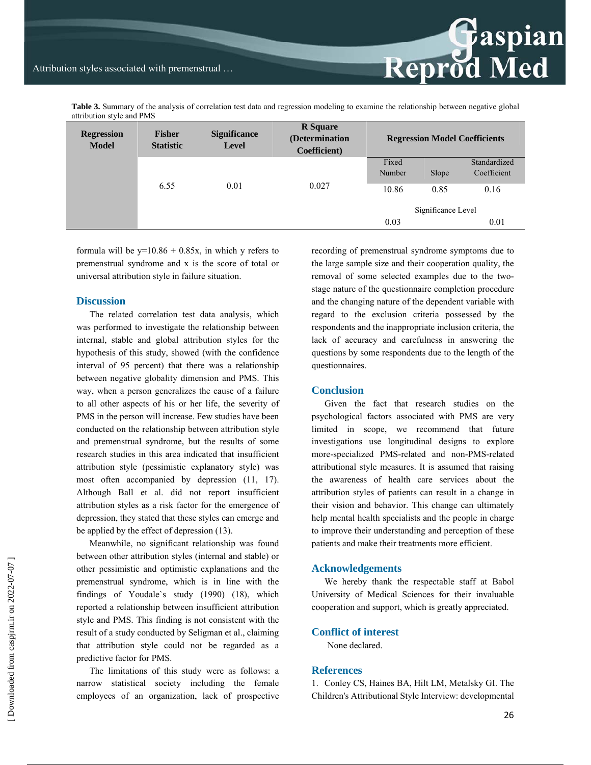**Table 3.** Summary of the analysis of correlation test data and regression modeling to examine the relationship between negative global attribution style and PMS

| <b>Regression</b><br><b>Model</b> | <b>Fisher</b><br><b>Statistic</b> | <b>Significance</b><br><b>Level</b> | <b>R</b> Square<br>(Determination<br>Coefficient) | <b>Regression Model Coefficients</b> |       |              |
|-----------------------------------|-----------------------------------|-------------------------------------|---------------------------------------------------|--------------------------------------|-------|--------------|
|                                   | 6.55                              | 0.01                                | 0.027                                             | Fixed                                |       | Standardized |
|                                   |                                   |                                     |                                                   | Number                               | Slope | Coefficient  |
|                                   |                                   |                                     |                                                   | 10.86                                | 0.85  | 0.16         |
|                                   |                                   |                                     |                                                   | Significance Level                   |       |              |
|                                   |                                   |                                     |                                                   | 0.03                                 |       | 0.01         |

formula will be  $y=10.86 + 0.85x$ , in which y refers to premenstrual syndrome and x is the score of total or universal attribution style in failure situation.

### **Discussion**

The related correlation test data analysis, which was performed to investigate the relationship between internal, stable and global attribution styles for the hypothesis of this study, showed (with the confidence interval of 95 percent) that there was a relationship between negative globality dimension and PMS. This way, when a person generalizes the cause of a failure to all other aspects of his or her life, the severity of PMS in the person will increase. Few studies have been conducted on the relationship between attribution style and premenstrual syndrome, but the results of some research studies in this area indicated that insufficient attribution style (pessimistic explanatory style) was most often accompanied by depression (11, 17). Although Ball et al. did not report insufficient attribution styles as a risk factor for the emergence of depression, they stated that these styles can emerge and be applied by the effect of depression (13).

Meanwhile, no significant relationship was found between other attribution styles (internal and stable) or other pessimistic and optimistic explanations and the premenstrual syndrome, which is in line with the findings of Youdale`s study (1990) (18), which reported a relationship between insufficient attribution style and PMS. This finding is not consistent with the result of a study conducted by Seligman et al., claiming that attribution style could not be regarded as a predictive factor for PMS.

The limitations of this study were as follows: a narrow statistical society including the female employees of an organization, lack of prospective recording of premenstrual syndrome symptoms due to the large sample size and their cooperation quality, the removal of some selected examples due to the twostage nature of the questionnaire completion procedure and the changing nature of the dependent variable with regard to the exclusion criteria possessed by the respondents and the inappropriate inclusion criteria, the lack of accuracy and carefulness in answering the questions by some respondents due to the length of the questionnaires.

**Reprod Med** 

## **Conclusion**

Given the fact that research studies on the psychological factors associated with PMS are very limited in scope, we recommend that future investigations use longitudinal designs to explore more-specialized PMS-related and non-PMS-related attributional style measures. It is assumed that raising the awareness of health care services about the attribution styles of patients can result in a change in their vision and behavior. This change can ultimately help mental health specialists and the people in charge to improve their understanding and perception of these patients and make their treatments more efficient.

#### **Acknowledgements**

We hereby thank the respectable staff at Babol University of Medical Sciences for their invaluable cooperation and support, which is greatly appreciated.

# **Conflict of interest**

None declared.

# **References**

1. Conley CS, Haines BA, Hilt LM, Metalsky GI. The Children's Attributional Style Interview: developmental